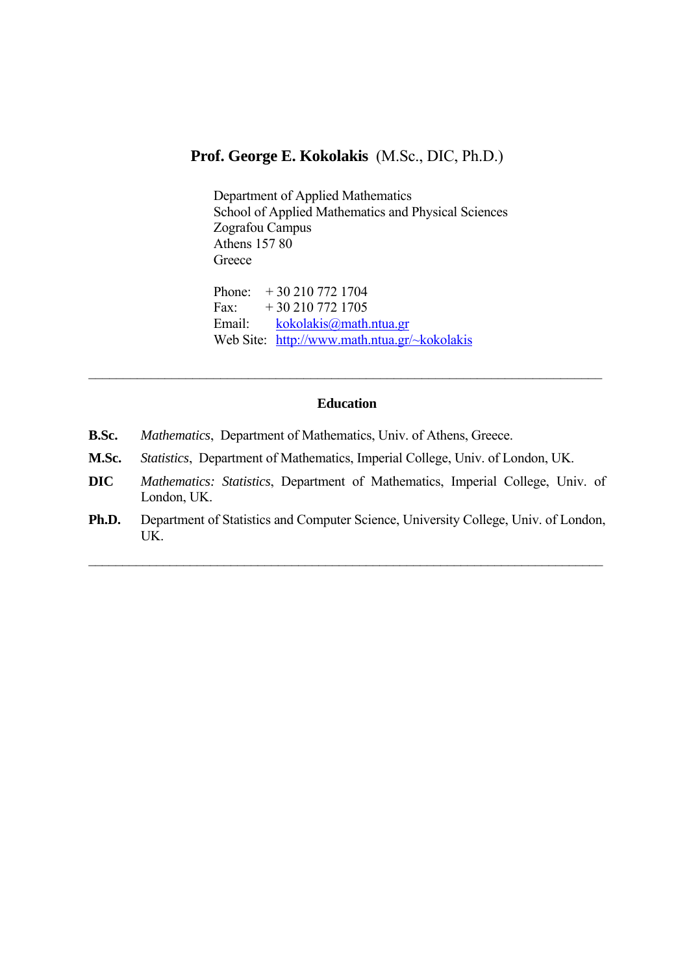# **Prof. George E. Kokolakis** (M.Sc., DIC, Ph.D.)

Department of Applied Mathematics School of Applied Mathematics and Physical Sciences Zografou Campus Athens 157 80 **Greece** Phone: + 30 210 772 1704

Fax:  $+30\,210\,772\,1705$ Email: [kokolakis@math.ntua.gr](mailto:kokolakis@math.ntua.gr)  Web Site: [http://www.math.ntua.gr/~kokolakis](http://www.math.ntua.gr/%7Ekokolakis)

### **Education**

 $\_$  , and the contribution of the contribution of the contribution of the contribution of  $\mathcal{L}_\mathcal{A}$ 

- **B.Sc.** *Mathematics*, Department of Mathematics, Univ. of Athens, Greece.
- **M.Sc.** *Statistics*, Department of Mathematics, Imperial College, Univ. of London, UK.
- **DIC** *Mathematics: Statistics*, Department of Mathematics, Imperial College, Univ. of London, UK.
- **Ph.D.** Department of Statistics and Computer Science, University College, Univ. of London, UK.

 $\mathcal{L}_\mathcal{L}$  , and the contribution of the contribution of the contribution of the contribution of the contribution of the contribution of the contribution of the contribution of the contribution of the contribution of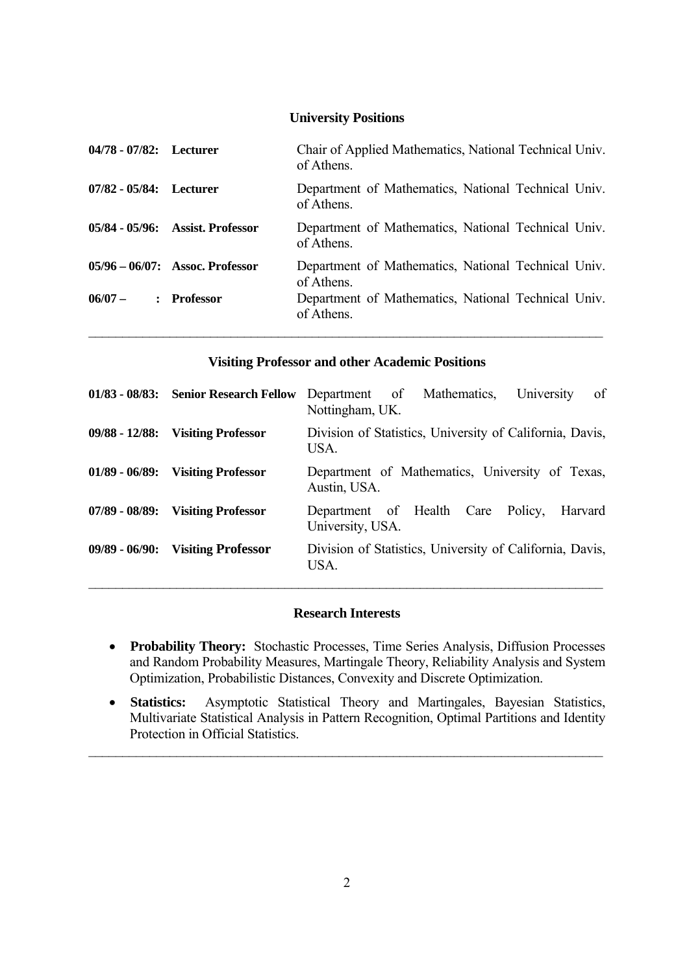#### **University Positions**

| 04/78 - 07/82: Lecturer |                                    | Chair of Applied Mathematics, National Technical Univ.<br>of Athens. |
|-------------------------|------------------------------------|----------------------------------------------------------------------|
| 07/82 - 05/84: Lecturer |                                    | Department of Mathematics, National Technical Univ.<br>of Athens.    |
|                         | 05/84 - 05/96: Assist. Professor   | Department of Mathematics, National Technical Univ.<br>of Athens.    |
|                         | $05/96 - 06/07$ : Assoc. Professor | Department of Mathematics, National Technical Univ.<br>of Athens.    |
| $06/07 -$               | : Professor                        | Department of Mathematics, National Technical Univ.<br>of Athens.    |

#### **Visiting Professor and other Academic Positions**

| 01/83 - 08/83: Senior Research Fellow | of<br>Department of<br>Mathematics.<br>University<br>Nottingham, UK. |
|---------------------------------------|----------------------------------------------------------------------|
| 09/88 - 12/88: Visiting Professor     | Division of Statistics, University of California, Davis,<br>USA.     |
| 01/89 - 06/89: Visiting Professor     | Department of Mathematics, University of Texas,<br>Austin, USA.      |
| 07/89 - 08/89: Visiting Professor     | Department of Health Care Policy,<br>Harvard<br>University, USA.     |
| 09/89 - 06/90: Visiting Professor     | Division of Statistics, University of California, Davis,<br>USA.     |

### **Research Interests**

- **Probability Theory:** Stochastic Processes, Time Series Analysis, Diffusion Processes and Random Probability Measures, Martingale Theory, Reliability Analysis and System Optimization, Probabilistic Distances, Convexity and Discrete Optimization.
- **Statistics:** Asymptotic Statistical Theory and Martingales, Bayesian Statistics, Multivariate Statistical Analysis in Pattern Recognition, Optimal Partitions and Identity Protection in Official Statistics.

 $\mathcal{L}_\text{max} = \mathcal{L}_\text{max} = \mathcal{L}_\text{max} = \mathcal{L}_\text{max} = \mathcal{L}_\text{max} = \mathcal{L}_\text{max} = \mathcal{L}_\text{max} = \mathcal{L}_\text{max} = \mathcal{L}_\text{max} = \mathcal{L}_\text{max} = \mathcal{L}_\text{max} = \mathcal{L}_\text{max} = \mathcal{L}_\text{max} = \mathcal{L}_\text{max} = \mathcal{L}_\text{max} = \mathcal{L}_\text{max} = \mathcal{L}_\text{max} = \mathcal{L}_\text{max} = \mathcal{$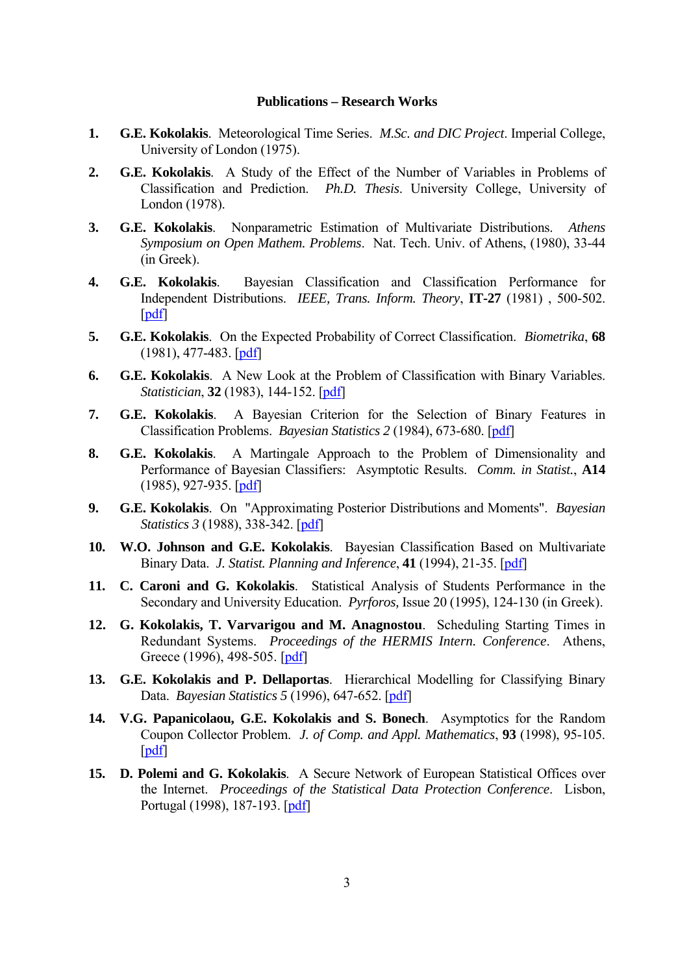#### **Publications – Research Works**

- **1. G.E. Kokolakis**. Meteorological Time Series. *M.Sc. and DIC Project*. Imperial College, University of London (1975).
- **2. G.E. Kokolakis**. A Study of the Effect of the Number of Variables in Problems of Classification and Prediction. *Ph.D. Thesis*. University College, University of London (1978).
- **3. G.E. Kokolakis**. Nonparametric Estimation of Multivariate Distributions. *Athens Symposium on Open Mathem. Problems*.Nat. Tech. Univ. of Athens, (1980), 33-44 (in Greek).
- **4. G.E. Kokolakis**. Bayesian Classification and Classification Performance for Independent Distributions. *IEEE, Trans. Inform. Theory*, **IT-27** (1981) , 500-502. [\[pdf\]](http://www.math.ntua.gr/%7Ekokolakis/paper_Kokolakis/Bayesian%20Classification%20and%20Classification%20Performance%20for%20Independent%20Distributions.%20G.E.%20Kokolakis%201981.pdf)
- **5. G.E. Kokolakis**. On the Expected Probability of Correct Classification. *Biometrika*, **68**  (1981), 477-483. [[pdf](http://www.math.ntua.gr/%7Ekokolakis/paper_Kokolakis/On%20the%20Expected%20Probability%20of%20Correct%20Classification.%20G.%20E.%20Kokolakis%201981.pdf)]
- **6. G.E. Kokolakis**. A New Look at the Problem of Classification with Binary Variables. *Statistician*, **32** (1983), 144-152. [\[pdf\]](http://www.math.ntua.gr/%7Ekokolakis/paper_Kokolakis/A%20New%20Look%20at%20the%20Problem%20of%20Classification%20with%20Binary%20Variables.%20G.%20E.%20Kokolakis%201983.pdf)
- **7. G.E. Kokolakis**. A Bayesian Criterion for the Selection of Binary Features in Classification Problems. *Bayesian Statistics 2* (1984), 673-680. [\[pdf\]](http://www.math.ntua.gr/%7Ekokolakis/paper_Kokolakis/A%20Bayesian%20Criterion%20for%20the%20Selection%20of%20Binary%20Features%20in%20Classification%20Problems.%20G.E.%20Kokolakis%201984.pdf)
- **8. G.E. Kokolakis**. A Martingale Approach to the Problem of Dimensionality and Performance of Bayesian Classifiers: Asymptotic Results. *Comm. in Statist.*, **A14** (1985), 927-935. [[pdf](http://www.math.ntua.gr/%7Ekokolakis/paper_Kokolakis/A%20Martingale%20Approach%20to%20the%20Problem%20of%20Dimensionality%20and%20Performance%20of%20Bayesian%20Classifiers%20G.%20Kokolakis%201985.pdf)]
- **9. G.E. Kokolakis**. On "Approximating Posterior Distributions and Moments". *Bayesian Statistics 3* (1988), 338-342. [\[pdf\]](http://www.math.ntua.gr/~kokolakis/paper_Kokolakis/On#Approximating Posterior Distributions and Moments)
- **10. W.O. Johnson and G.E. Kokolakis**. Bayesian Classification Based on Multivariate Binary Data. *J. Statist. Planning and Inference*, **41** (1994), 21-35. [\[pdf\]](http://www.math.ntua.gr/%7Ekokolakis/paper_Kokolakis/Bayesian%20Classification%20Based%20on%20Multivariate%20Binary%20Data.%20W.%20O.%20Johnson%20and%20G.%20E.%20Kokolakis%201994.pdf)
- **11. C. Caroni and G. Kokolakis**. Statistical Analysis of Students Performance in the Secondary and University Education. *Pyrforos,* Issue 20 (1995), 124-130 (in Greek).
- **12. G. Kokolakis, T. Varvarigou and M. Anagnostou**. Scheduling Starting Times in Redundant Systems. *Proceedings of the HERMIS Intern. Conference*. Athens, Greece (1996), 498-505. [\[pdf\]](http://www.math.ntua.gr/%7Ekokolakis/paper_Kokolakis/Scheduling%20Starting%20Times%20in%20Redundant%20Systems.%20G.%20Kokolakis_T.%20Varvarigou%20and%20M.%20Anagnostou%201996.pdf)
- **13. G.E. Kokolakis and P. Dellaportas**. Hierarchical Modelling for Classifying Binary Data. *Bayesian Statistics 5* (1996), 647-652. [\[pdf](http://www.math.ntua.gr/%7Ekokolakis/paper_Kokolakis/Hierarchical%20Modelling%20for%20Classifying%20Binary%20Data.%20G.E.%20Kokolakis%20and%20P.%20Dellaportas%201996.pdf)]
- **14. V.G. Papanicolaou, G.E. Kokolakis and S. Bonech**. Asymptotics for the Random Coupon Collector Problem. *J. of Comp. and Appl. Mathematics*, **93** (1998), 95-105. [\[pdf\]](http://www.math.ntua.gr/%7Ekokolakis/paper_Kokolakis/Asymptotics%20for%20the%20Random%20Coupon%20Collector%20Problem.%20V.G.%20Papanicolaou_%20G.E.%20Kokolakis_S.%20Boneh%201998.pdf)
- **15. D. Polemi and G. Kokolakis**. A Secure Network of European Statistical Offices over the Internet. *Proceedings of the Statistical Data Protection Conference*. Lisbon, Portugal (1998), 187-193. [\[pdf\]](http://www.math.ntua.gr/%7Ekokolakis/paper_Kokolakis/A%20Secure%20Network%20of%20European%20Statistical%20Offices%20over%20the%20Internet.%20D.%20Polemi%20and%20G.%20Kokolakis%201998.pdf)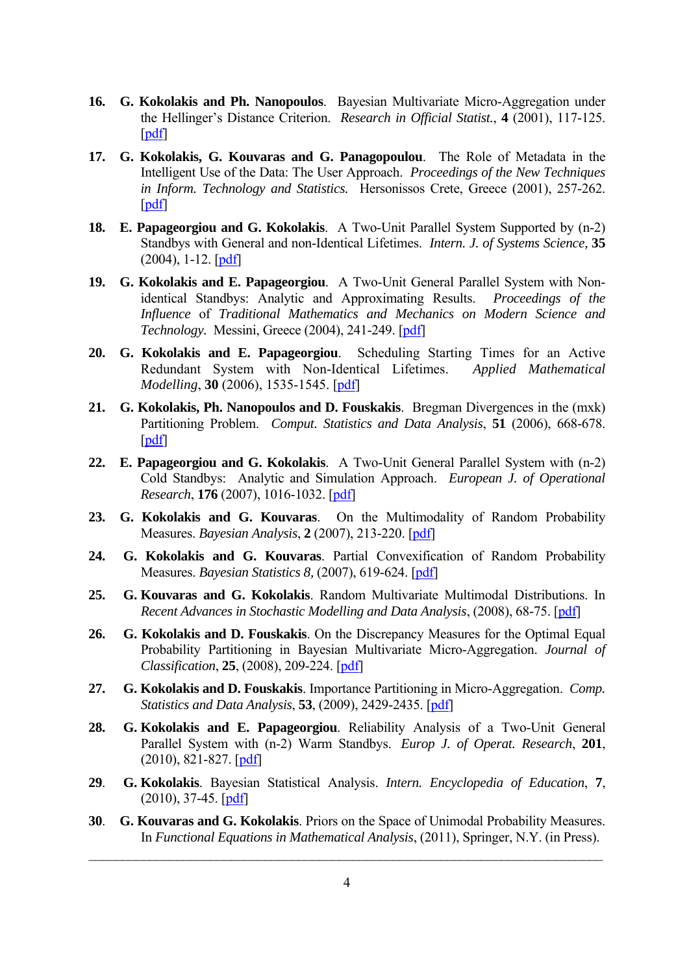- **16. G. Kokolakis and Ph. Nanopoulos**.Bayesian Multivariate Micro-Aggregation under the Hellinger's Distance Criterion. *Research in Official Statist.*, **4** (2001), 117-125. [\[pdf\]](http://www.math.ntua.gr/%7Ekokolakis/paper_Kokolakis/Bayesian%20Multivariate%20Micro-Aggregation%20under%20the%20Hellinger%20s%20Distance%20Criterion.%20G.%20Kokolakis%20and%20Ph.%20Nanopoulos%202001.pdf)
- **17. G. Kokolakis, G. Kouvaras and G. Panagopoulou**. The Role of Metadata in the Intelligent Use of the Data: The User Approach. *Proceedings of the New Techniques in Inform. Technology and Statistics.* Hersonissos Crete, Greece (2001), 257-262. [\[pdf\]](http://www.math.ntua.gr/%7Ekokolakis/paper_Kokolakis/The%20Role%20of%20Metadata%20in%20the%20Intelligent%20Use%20of%20the%20Data.%20The%20User%20Approach.G.%20Kokolakis_G.Kouvaras_G.Panagopoulou%202001.pdf)
- **18. E. Papageorgiou and G. Kokolakis**. A Two-Unit Parallel System Supported by (n-2) Standbys with General and non-Identical Lifetimes. *Intern. J. of Systems Science,* **35**  $(2004)$ , 1-12.  $[pdf]$
- **19. G. Kokolakis and E. Papageorgiou**.A Two-Unit General Parallel System with Nonidentical Standbys: Analytic and Approximating Results. *Proceedings of the Influence* of *Traditional Mathematics and Mechanics on Modern Science and Technology.* Messini, Greece (2004), 241-249. [\[pdf\]](http://www.math.ntua.gr/%7Ekokolakis/paper_Kokolakis/A%20Two-Unit%20General%20Parallel%20System%20with%20Non-identical%20Standbys%20-%20Analytic%20and%20Approximating%20Results.%20G.%20Kokolakis%20and%20E.%20Papageorgiou%202004.pdf)
- **20. G. Kokolakis and E. Papageorgiou**. Scheduling Starting Times for an Active Redundant System with Non-Identical Lifetimes. *Applied Mathematical Modelling*, **30** (2006), 1535-1545. [[pdf](http://www.math.ntua.gr/%7Ekokolakis/paper_Kokolakis/Scheduling%20Starting%20Times%20for%20an%20Active%20Redundant%20System%20with%20non-identical%20Lifetimes%20G.%20Kokolakis_E.%20Papageorgiou%202006.pdf)]
- **21. G. Kokolakis, Ph. Nanopoulos and D. Fouskakis**. Bregman Divergences in the (mxk) Partitioning Problem. *Comput. Statistics and Data Analysis*, **51** (2006), 668-678. [\[pdf\]](http://www.math.ntua.gr/%7Ekokolakis/paper_Kokolakis/Bregman%20Divergences%20in%20the%20(m%20x%20k)%20Partitioning%20Problem.%20G.%20Kokolakis_Ph.%20Nanopoulos%20and%20D.%20Fouskakis%202006.pdf)
- **22. E. Papageorgiou and G. Kokolakis**. A Two-Unit General Parallel System with (n-2) Cold Standbys: Analytic and Simulation Approach. *European J. of Operational Research*, **176** (2007), 1016-1032. [\[pdf\]](http://www.math.ntua.gr/%7Ekokolakis/paper_Kokolakis/A%20Two-Unit%20General%20Parallel%20System%20with%20%20(n%20-%202)%20Cold%20Standbys.%20Analytic%20and%20Simulation%20Approach.%20E.%20Papageorgiou_G.%20Kokolakis%202007.pdf)
- **23. G. Kokolakis and G. Kouvaras**. On the Multimodality of Random Probability Measures. *Bayesian Analysis*, **2** (2007), 213-220. [[pdf](http://www.math.ntua.gr/%7Ekokolakis/paper_Kokolakis/On%20the%20Multimodality%20of%20Random%20Probability%20Measures.%20G.Kokolakis_G.Kouvaras%202007.pdf)]
- **24. G. Kokolakis and G. Kouvaras**. Partial Convexification of Random Probability Measures. *Bayesian Statistics 8,* (2007), 619-624. [\[pdf\]](http://www.math.ntua.gr/%7Ekokolakis/paper_Kokolakis/On%20the%20Multimodality%20of%20Random%20Probability%20Measures.%20G.Kokolakis_G.Kouvaras%202007.pdf)
- **25. G. Kouvaras and G. Kokolakis**. Random Multivariate Multimodal Distributions. In *Recent Advances in Stochastic Modelling and Data Analysis*, (2008), 68-75. [[pdf](http://www.math.ntua.gr/%7Ekokolakis/paper_Kokolakis/Random%20Multivariate%20Multimodal%20Distributions.%20G.Kokolakis_G.Kouvaras%20ASMDA2007.pdf)]
- **26. G. Kokolakis and D. Fouskakis**. On the Discrepancy Measures for the Optimal Equal Probability Partitioning in Bayesian Multivariate Micro-Aggregation. *Journal of Classification*, **25**, (2008), 209-224. [[pdf](http://www.math.ntua.gr/%7Ekokolakis/paper_Kokolakis/Random%20Multivariate%20Multimodal%20Distributions.%20G.Kokolakis_G.Kouvaras%20ASMDA2007.pdf)]
- **27. G. Kokolakis and D. Fouskakis**. Importance Partitioning in Micro-Aggregation. *Comp. Statistics and Data Analysis*, **53**, (2009), 2429-2435. [[pdf](http://www.math.ntua.gr/%7Ekokolakis/paper_Kokolakis/Random%20Multivariate%20Multimodal%20Distributions.%20G.Kokolakis_G.Kouvaras%20ASMDA2007.pdf)]
- **28. G. Kokolakis and E. Papageorgiou**. Reliability Analysis of a Two-Unit General Parallel System with (n-2) Warm Standbys. *Europ J. of Operat. Research*, **201**, (2010), 821-827. [\[pdf\]](http://www.math.ntua.gr/%7Ekokolakis/paper_Kokolakis/Reliability%20Analysis%20of%20a%20Two-Unit%20General%20Parallel%20System%20with%20(n-2)%20Warm%20Standbys.pdf)
- **29**. **G. Kokolakis**. Bayesian Statistical Analysis. *Intern. Encyclopedia of Education*, **7**, (2010), 37-45. [\[pdf\]](http://www.math.ntua.gr/%7Ekokolakis/paper_Kokolakis/Bayesian%20Statistical%20Analysis.pdf)
- **30**. **G. Kouvaras and G. Kokolakis**. Priors on the Space of Unimodal Probability Measures. In *Functional Equations in Mathematical Analysis*, (2011), Springer, N.Y. (in Press).

 $\mathcal{L}_\mathcal{L}$  , and the contribution of the contribution of the contribution of the contribution of the contribution of the contribution of the contribution of the contribution of the contribution of the contribution of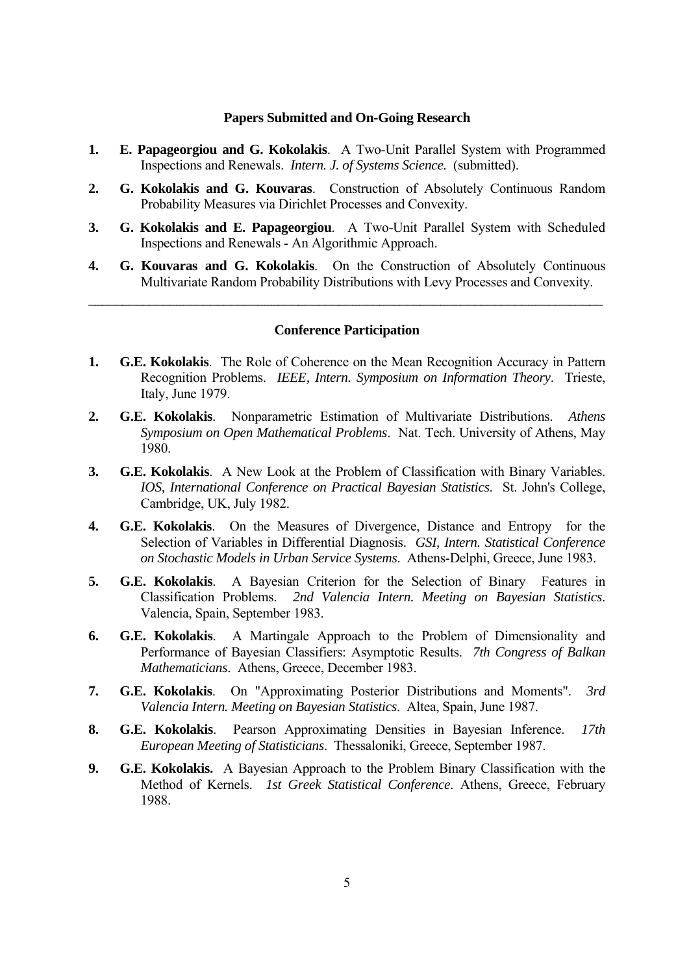#### **Papers Submitted and On-Going Research**

- **1. E. Papageorgiou and G. Kokolakis**. A Two-Unit Parallel System with Programmed Inspections and Renewals. *Intern. J. of Systems Science.* (submitted).
- **2. G. Kokolakis and G. Kouvaras**. Construction of Absolutely Continuous Random Probability Measures via Dirichlet Processes and Convexity.
- **3. G. Kokolakis and E. Papageorgiou**.A Two-Unit Parallel System with Scheduled Inspections and Renewals - An Algorithmic Approach.
- **4. G. Kouvaras and G. Kokolakis**.On the Construction of Absolutely Continuous Multivariate Random Probability Distributions with Levy Processes and Convexity.

 $\mathcal{L}_\mathcal{L}$  , and the contribution of the contribution of the contribution of the contribution of the contribution of the contribution of the contribution of the contribution of the contribution of the contribution of

#### **Conference Participation**

- **1. G.E. Kokolakis**. The Role of Coherence on the Mean Recognition Accuracy in Pattern Recognition Problems. *IEEE, Intern. Symposium on Information Theory*. Trieste, Italy, June 1979.
- **2. G.E. Kokolakis**. Nonparametric Estimation of Multivariate Distributions. *Athens Symposium on Open Mathematical Problems*.Nat. Tech. University of Athens, May 1980.
- **3. G.E. Kokolakis**. A New Look at the Problem of Classification with Binary Variables. *IOS, International Conference on Practical Bayesian Statistics*. St. John's College, Cambridge, UK, July 1982.
- **4. G.E. Kokolakis**. On the Measures of Divergence, Distance and Entropy for the Selection of Variables in Differential Diagnosis. *GSI, Intern. Statistical Conference on Stochastic Models in Urban Service Systems*. Athens-Delphi, Greece, June 1983.
- **5. G.E. Kokolakis**. A Bayesian Criterion for the Selection of Binary Features in Classification Problems. *2nd Valencia Intern. Meeting on Bayesian Statistics*. Valencia, Spain, September 1983.
- **6. G.E. Kokolakis**. A Martingale Approach to the Problem of Dimensionality and Performance of Bayesian Classifiers: Asymptotic Results. *7th Congress of Balkan Mathematicians*. Athens, Greece, December 1983.
- **7. G.E. Kokolakis**. On "Approximating Posterior Distributions and Moments". *3rd Valencia Intern. Meeting on Bayesian Statistics*. Altea, Spain, June 1987.
- **8. G.E. Kokolakis**. Pearson Approximating Densities in Bayesian Inference. *17th European Meeting of Statisticians*. Thessaloniki, Greece, September 1987.
- **9. G.E. Kokolakis.** A Bayesian Approach to the Problem Binary Classification with the Method of Kernels. *1st Greek Statistical Conference*. Athens, Greece, February 1988.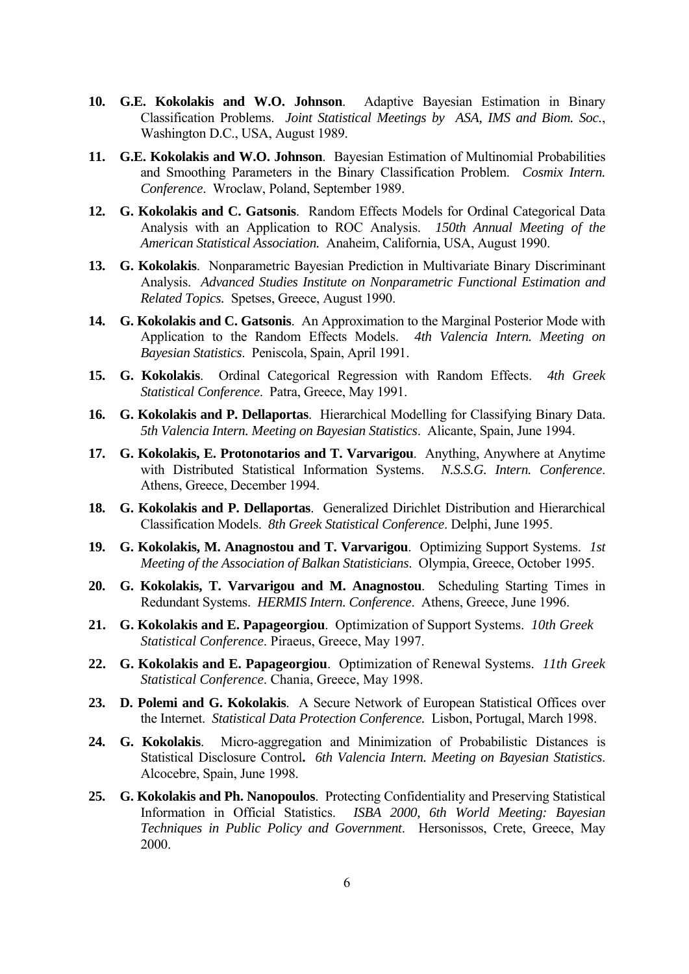- **10. G.E. Kokolakis and W.O. Johnson**. Adaptive Bayesian Estimation in Binary Classification Problems. *Joint Statistical Meetings by ASA, IMS and Biom. Soc.*, Washington D.C., USA, August 1989.
- **11. G.E. Kokolakis and W.O. Johnson**. Bayesian Estimation of Multinomial Probabilities and Smoothing Parameters in the Binary Classification Problem. *Cosmix Intern. Conference*. Wroclaw, Poland, September 1989.
- **12. G. Kokolakis and C. Gatsonis**. Random Effects Models for Ordinal Categorical Data Analysis with an Application to ROC Analysis. *150th Annual Meeting of the American Statistical Association.* Anaheim, California, USA, August 1990.
- **13. G. Kokolakis**. Nonparametric Bayesian Prediction in Multivariate Binary Discriminant Analysis. *Advanced Studies Institute on Nonparametric Functional Estimation and Related Topics.* Spetses, Greece, August 1990.
- **14. G. Kokolakis and C. Gatsonis**. An Approximation to the Marginal Posterior Mode with Application to the Random Effects Models. *4th Valencia Intern. Meeting on Bayesian Statistics*. Peniscola, Spain, April 1991.
- **15. G. Kokolakis**. Ordinal Categorical Regression with Random Effects. *4th Greek Statistical Conference*. Patra, Greece, May 1991.
- **16. G. Kokolakis and P. Dellaportas**. Hierarchical Modelling for Classifying Binary Data. *5th Valencia Intern. Meeting on Bayesian Statistics*. Alicante, Spain, June 1994.
- **17. G. Kokolakis, E. Protonotarios and T. Varvarigou**. Anything, Anywhere at Anytime with Distributed Statistical Information Systems. *N.S.S.G. Intern. Conference*. Athens, Greece, December 1994.
- **18. G. Kokolakis and P. Dellaportas**.Generalized Dirichlet Distribution and Hierarchical Classification Models. *8th Greek Statistical Conference*. Delphi, June 1995.
- **19. G. Kokolakis, M. Anagnostou and T. Varvarigou**.Optimizing Support Systems. *1st Meeting of the Association of Balkan Statisticians*. Olympia, Greece, October 1995.
- **20. G. Kokolakis, T. Varvarigou and M. Anagnostou**. Scheduling Starting Times in Redundant Systems. *HERMIS Intern. Conference*. Athens, Greece, June 1996.
- **21. G. Kokolakis and E. Papageorgiou**. Optimization of Support Systems. *10th Greek Statistical Conference*. Piraeus, Greece, May 1997.
- **22. G. Kokolakis and E. Papageorgiou**. Optimization of Renewal Systems. *11th Greek Statistical Conference*. Chania, Greece, May 1998.
- **23. D. Polemi and G. Kokolakis**.A Secure Network of European Statistical Offices over the Internet. *Statistical Data Protection Conference.* Lisbon, Portugal, March 1998.
- **24. G. Kokolakis**.Micro-aggregation and Minimization of Probabilistic Distances is Statistical Disclosure Control**.** *6th Valencia Intern. Meeting on Bayesian Statistics*. Alcocebre, Spain, June 1998.
- **25. G. Kokolakis and Ph. Nanopoulos**.Protecting Confidentiality and Preserving Statistical Information in Official Statistics. *ISBA 2000, 6th World Meeting: Bayesian Techniques in Public Policy and Government*. Hersonissos, Crete, Greece, May 2000.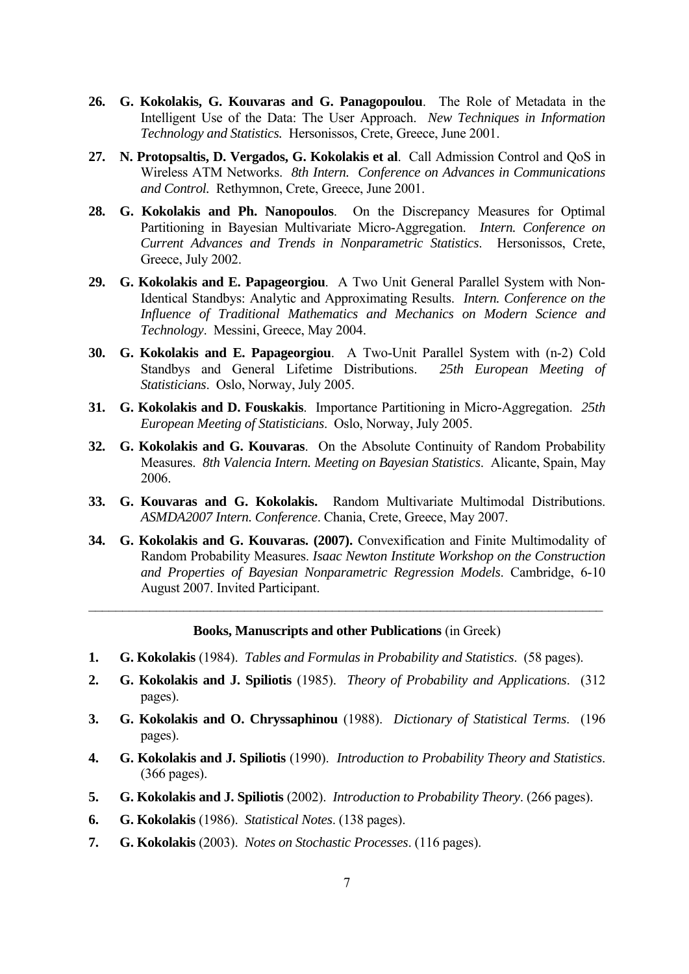- **26. G. Kokolakis, G. Kouvaras and G. Panagopoulou**.The Role of Metadata in the Intelligent Use of the Data: The User Approach. *New Techniques in Information Technology and Statistics.* Hersonissos, Crete, Greece, June 2001.
- **27. N. Protopsaltis, D. Vergados, G. Kokolakis et al**.Call Admission Control and QoS in Wireless ATM Networks. *8th Intern. Conference on Advances in Communications and Control.* Rethymnon, Crete, Greece, June 2001.
- **28. G. Kokolakis and Ph. Nanopoulos**.On the Discrepancy Measures for Optimal Partitioning in Bayesian Multivariate Micro-Aggregation. *Intern. Conference on Current Advances and Trends in Nonparametric Statistics*. Hersonissos, Crete, Greece, July 2002.
- **29. G. Kokolakis and E. Papageorgiou**. A Two Unit General Parallel System with Non-Identical Standbys: Analytic and Approximating Results. *Intern. Conference on the Influence of Traditional Mathematics and Mechanics on Modern Science and Technology*. Messini, Greece, May 2004.
- **30. G. Kokolakis and E. Papageorgiou**. A Two-Unit Parallel System with (n-2) Cold Standbys and General Lifetime Distributions. *25th European Meeting of Statisticians*. Oslo, Norway, July 2005.
- **31. G. Kokolakis and D. Fouskakis**. Importance Partitioning in Micro-Aggregation. *25th European Meeting of Statisticians*. Oslo, Norway, July 2005.
- **32. G. Kokolakis and G. Kouvaras**. On the Absolute Continuity of Random Probability Measures. *8th Valencia Intern. Meeting on Bayesian Statistics*. Alicante, Spain, May 2006.
- **33. G. Kouvaras and G. Kokolakis.** Random Multivariate Multimodal Distributions. *ASMDA2007 Intern. Conference*. Chania, Crete, Greece, May 2007.
- **34. G. Kokolakis and G. Kouvaras. (2007).** Convexification and Finite Multimodality of Random Probability Measures. *Isaac Newton Institute Workshop on the Construction and Properties of Bayesian Nonparametric Regression Models*. Cambridge, 6-10 August 2007. Invited Participant.

#### **Books, Manuscripts and other Publications** (in Greek)

 $\mathcal{L}_\text{max} = \mathcal{L}_\text{max} = \mathcal{L}_\text{max} = \mathcal{L}_\text{max} = \mathcal{L}_\text{max} = \mathcal{L}_\text{max} = \mathcal{L}_\text{max} = \mathcal{L}_\text{max} = \mathcal{L}_\text{max} = \mathcal{L}_\text{max} = \mathcal{L}_\text{max} = \mathcal{L}_\text{max} = \mathcal{L}_\text{max} = \mathcal{L}_\text{max} = \mathcal{L}_\text{max} = \mathcal{L}_\text{max} = \mathcal{L}_\text{max} = \mathcal{L}_\text{max} = \mathcal{$ 

- **1. G. Kokolakis** (1984). *Tables and Formulas in Probability and Statistics*. (58 pages).
- **2. G. Kokolakis and J. Spiliotis** (1985). *Theory of Probability and Applications*. (312 pages).
- **3. G. Kokolakis and O. Chryssaphinou** (1988). *Dictionary of Statistical Terms*. (196 pages).
- **4. G. Kokolakis and J. Spiliotis** (1990). *Introduction to Probability Theory and Statistics*. (366 pages).
- **5. G. Kokolakis and J. Spiliotis** (2002). *Introduction to Probability Theory*. (266 pages).
- **6. G. Kokolakis** (1986). *Statistical Notes*. (138 pages).
- **7. G. Kokolakis** (2003). *Notes on Stochastic Processes*. (116 pages).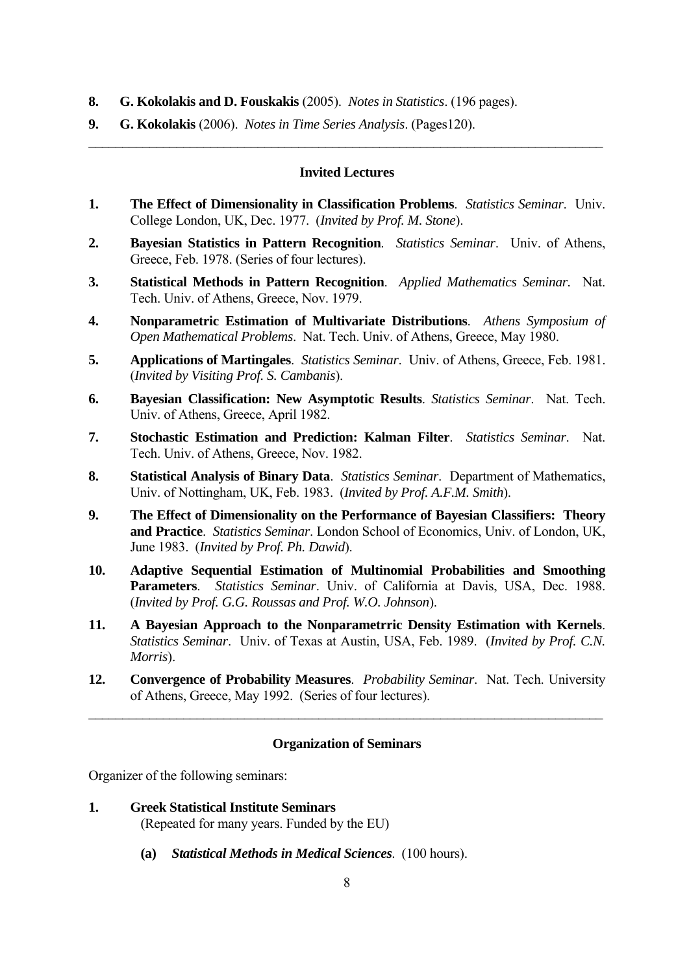- **8. G. Kokolakis and D. Fouskakis** (2005). *Notes in Statistics*. (196 pages).
- **9. G. Kokolakis** (2006). *Notes in Time Series Analysis*. (Pages120).

#### **Invited Lectures**

 $\mathcal{L}_\text{max} = \mathcal{L}_\text{max} = \mathcal{L}_\text{max} = \mathcal{L}_\text{max} = \mathcal{L}_\text{max} = \mathcal{L}_\text{max} = \mathcal{L}_\text{max} = \mathcal{L}_\text{max} = \mathcal{L}_\text{max} = \mathcal{L}_\text{max} = \mathcal{L}_\text{max} = \mathcal{L}_\text{max} = \mathcal{L}_\text{max} = \mathcal{L}_\text{max} = \mathcal{L}_\text{max} = \mathcal{L}_\text{max} = \mathcal{L}_\text{max} = \mathcal{L}_\text{max} = \mathcal{$ 

- **1. The Effect of Dimensionality in Classification Problems**. *Statistics Seminar*. Univ. College London, UK, Dec. 1977. (*Invited by Prof. M. Stone*).
- **2. Bayesian Statistics in Pattern Recognition**. *Statistics Seminar*. Univ. of Athens, Greece, Feb. 1978. (Series of four lectures).
- **3. Statistical Methods in Pattern Recognition**.*Applied Mathematics Seminar.* Nat. Tech. Univ. of Athens, Greece, Nov. 1979.
- **4. Nonparametric Estimation of Multivariate Distributions**.*Athens Symposium of Open Mathematical Problems*.Nat. Tech. Univ. of Athens, Greece, May 1980.
- **5. Applications of Martingales**. *Statistics Seminar*. Univ. of Athens, Greece, Feb. 1981. (*Invited by Visiting Prof. S. Cambanis*).
- **6. Bayesian Classification: New Asymptotic Results**. *Statistics Seminar*. Nat. Tech. Univ. of Athens, Greece, April 1982.
- **7. Stochastic Estimation and Prediction: Kalman Filter**.*Statistics Seminar*. Nat. Tech. Univ. of Athens, Greece, Nov. 1982.
- **8. Statistical Analysis of Binary Data**. *Statistics Seminar*. Department of Mathematics, Univ. οf Nottingham, UK, Feb. 1983. (*Invited by Prof. A.F.M. Smith*).
- **9. The Effect of Dimensionality on the Performance of Bayesian Classifiers: Theory and Practice**.*Statistics Seminar*. London School of Economics, Univ. of London, UK, June 1983. (*Invited by Prof. Ph. Dawid*).
- **10. Adaptive Sequential Estimation of Multinomial Probabilities and Smoothing Parameters**.*Statistics Seminar*. Univ. of California at Davis, USA, Dec. 1988. (*Invited by Prof. G.G. Roussas and Prof. W.O. Johnson*).
- **11. A Bayesian Approach to the Nonparametrric Density Estimation with Kernels**. *Statistics Seminar*. Univ. of Texas at Austin, USA, Feb. 1989. (*Invited by Prof. C.N. Morris*).
- **12. Convergence of Probability Measures**.*Probability Seminar*. Nat. Tech. University of Athens, Greece, May 1992. (Series of four lectures).

 $\mathcal{L}_\text{max} = \mathcal{L}_\text{max} = \mathcal{L}_\text{max} = \mathcal{L}_\text{max} = \mathcal{L}_\text{max} = \mathcal{L}_\text{max} = \mathcal{L}_\text{max} = \mathcal{L}_\text{max} = \mathcal{L}_\text{max} = \mathcal{L}_\text{max} = \mathcal{L}_\text{max} = \mathcal{L}_\text{max} = \mathcal{L}_\text{max} = \mathcal{L}_\text{max} = \mathcal{L}_\text{max} = \mathcal{L}_\text{max} = \mathcal{L}_\text{max} = \mathcal{L}_\text{max} = \mathcal{$ 

#### **Organization of Seminars**

Organizer of the following seminars:

- **1. Greek Statistical Institute Seminars**  (Repeated for many years. Funded by the EU)
	- **(a)** *Statistical Methods in Medical Sciences*.(100 hours).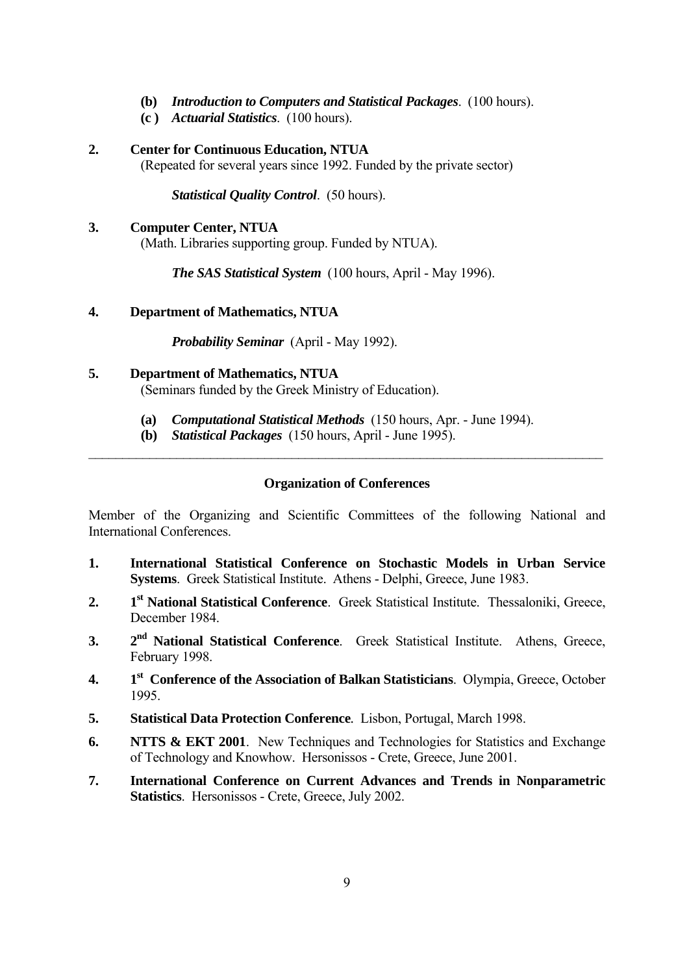- **(b)** *Introduction to Computers and Statistical Packages*.(100 hours).
- **(c )** *Actuarial Statistics*.(100 hours).
- **2. Center for Continuous Education, NTUA**

(Repeated for several years since 1992. Funded by the private sector)

*Statistical Quality Control*.(50 hours).

### **3. Computer Center, NTUA**

(Math. Libraries supporting group. Funded by NTUA).

 *The SAS Statistical System* (100 hours, April - May 1996).

## **4. Department of Mathematics, NTUA**

*Probability Seminar* (April - May 1992).

## **5. Department of Mathematics, NTUA**

(Seminars funded by the Greek Ministry of Education).

- **(a)** *Computational Statistical Methods* (150 hours, Apr. June 1994).
- **(b)** *Statistical Packages* (150 hours, April June 1995).

## **Organization of Conferences**

 $\mathcal{L}_\text{max} = \mathcal{L}_\text{max} = \mathcal{L}_\text{max} = \mathcal{L}_\text{max} = \mathcal{L}_\text{max} = \mathcal{L}_\text{max} = \mathcal{L}_\text{max} = \mathcal{L}_\text{max} = \mathcal{L}_\text{max} = \mathcal{L}_\text{max} = \mathcal{L}_\text{max} = \mathcal{L}_\text{max} = \mathcal{L}_\text{max} = \mathcal{L}_\text{max} = \mathcal{L}_\text{max} = \mathcal{L}_\text{max} = \mathcal{L}_\text{max} = \mathcal{L}_\text{max} = \mathcal{$ 

Member of the Organizing and Scientific Committees of the following National and International Conferences.

- **1. International Statistical Conference on Stochastic Models in Urban Service Systems**. Greek Statistical Institute. Athens - Delphi, Greece, June 1983.
- **2. 1st National Statistical Conference**.Greek Statistical Institute. Thessaloniki, Greece, December 1984.
- **3. 2nd National Statistical Conference**. Greek Statistical Institute. Athens, Greece, February 1998.
- **4. 1st Conference of the Association of Balkan Statisticians**. Olympia, Greece, October 1995.
- **5. Statistical Data Protection Conference***.* Lisbon, Portugal, March 1998.
- **6. NTTS & EKT 2001**.New Techniques and Technologies for Statistics and Exchange of Technology and Knowhow. Hersonissos - Crete, Greece, June 2001.
- **7. International Conference on Current Advances and Trends in Nonparametric Statistics**. Hersonissos - Crete, Greece, July 2002.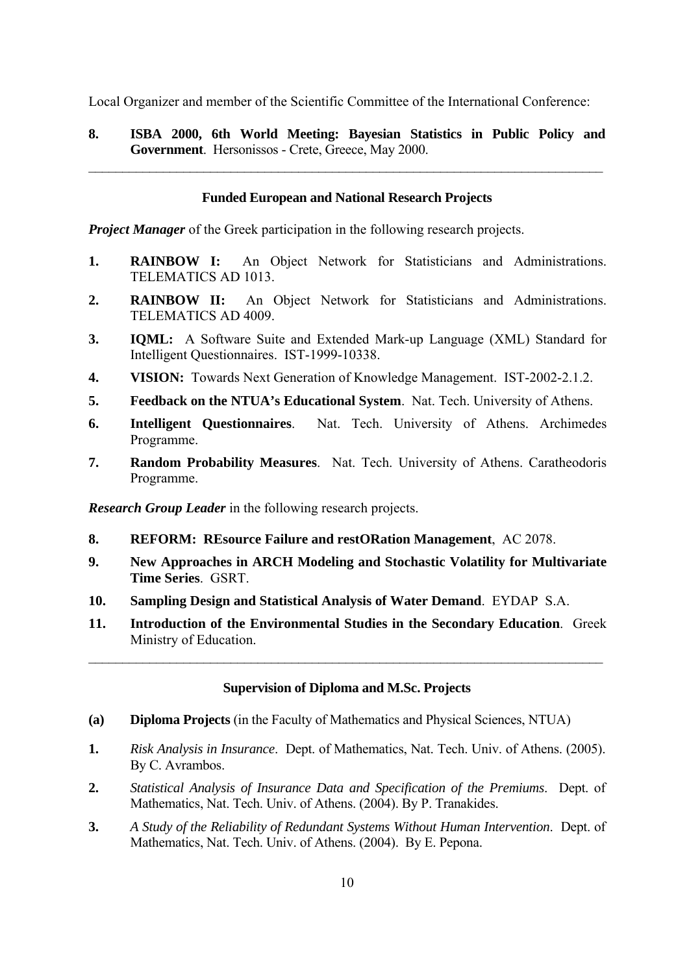Local Organizer and member of the Scientific Committee of the International Conference:

**8. ISBA 2000, 6th World Meeting: Bayesian Statistics in Public Policy and Government**. Hersonissos - Crete, Greece, May 2000.

 $\mathcal{L}_\mathcal{L}$  , and the contribution of the contribution of the contribution of the contribution of the contribution of the contribution of the contribution of the contribution of the contribution of the contribution of

### **Funded European and National Research Projects**

*Project Manager* of the Greek participation in the following research projects.

- **1. RAINBOW I:** An Object Network for Statisticians and Administrations. TELEMATICS AD 1013.
- **2. RAINBOW II:** An Object Network for Statisticians and Administrations. TELEMATICS AD 4009.
- **3. IQML:** A Software Suite and Extended Mark-up Language (XML) Standard for Intelligent Questionnaires. IST-1999-10338.
- **4. VISION:** Towards Next Generation of Knowledge Management. IST-2002-2.1.2.
- **5. Feedback on the NTUA's Educational System**.Nat. Tech. University of Athens.
- **6. Intelligent Questionnaires**.Nat. Tech. University of Athens. Archimedes Programme.
- **7. Random Probability Measures**. Nat. Tech. University of Athens. Caratheodoris Programme.

*Research Group Leader* in the following research projects.

- **8. REFORM: REsource Failure and restORation Management**, AC 2078.
- **9. New Approaches in ARCH Modeling and Stochastic Volatility for Multivariate Time Series**. GSRT.
- **10. Sampling Design and Statistical Analysis of Water Demand**. EYDAP S.A.
- **11. Introduction of the Environmental Studies in the Secondary Education**. Greek Ministry of Education.

 $\mathcal{L}_\mathcal{L}$  , and the contribution of the contribution of the contribution of the contribution of the contribution of the contribution of the contribution of the contribution of the contribution of the contribution of

### **Supervision of Diploma and M.Sc. Projects**

- **(a) Diploma Projects** (in the Faculty of Mathematics and Physical Sciences, NTUA)
- **1.** *Risk Analysis in Insurance*. Dept. of Mathematics, Nat. Tech. Univ. of Athens. (2005). By C. Avrambos.
- **2.** *Statistical Analysis of Insurance Data and Specification of the Premiums*. Dept. of Mathematics, Nat. Tech. Univ. of Athens. (2004). By P. Tranakides.
- **3.** *A Study of the Reliability of Redundant Systems Without Human Intervention*. Dept. of Mathematics, Nat. Tech. Univ. of Athens. (2004). By E. Pepona.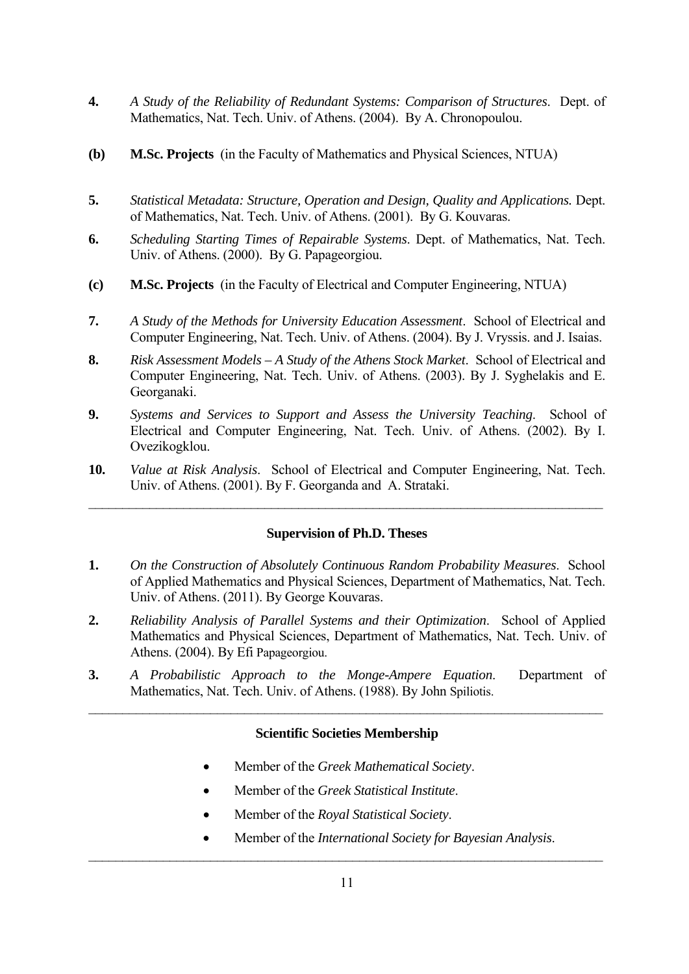- **4.** *A Study of the Reliability of Redundant Systems: Comparison of Structures*. Dept. of Mathematics, Nat. Tech. Univ. of Athens. (2004). By A. Chronopoulou.
- **(b) M.Sc. Projects** (in the Faculty of Mathematics and Physical Sciences, NTUA)
- **5.** *Statistical Metadata: Structure, Operation and Design, Quality and Applications.* Dept. of Mathematics, Nat. Tech. Univ. of Athens. (2001). By G. Kouvaras.
- **6.** *Scheduling Starting Times of Repairable Systems*. Dept. of Mathematics, Nat. Tech. Univ. of Athens. (2000). By G. Papageorgiou.
- **(c) M.Sc. Projects** (in the Faculty of Electrical and Computer Engineering, NTUA)
- **7.** *A Study of the Methods for University Education Assessment*. School of Electrical and Computer Engineering, Nat. Tech. Univ. of Athens. (2004). By J. Vryssis. and J. Isaias.
- **8.** *Risk Assessment Models A Study of the Athens Stock Market*. School of Electrical and Computer Engineering, Nat. Tech. Univ. of Athens. (2003). By J. Syghelakis and E. Georganaki.
- **9.** *Systems and Services to Support and Assess the University Teaching*. School of Electrical and Computer Engineering, Nat. Tech. Univ. of Athens. (2002). By I. Ovezikogklou.
- **10.** *Value at Risk Analysis*. School of Electrical and Computer Engineering, Nat. Tech. Univ. of Athens. (2001). By F. Georganda and A. Strataki.

 $\mathcal{L}_\mathcal{L}$  , and the contribution of the contribution of the contribution of the contribution of the contribution of the contribution of the contribution of the contribution of the contribution of the contribution of

### **Supervision of Ph.D. Theses**

- **1.** *On the Construction of Absolutely Continuous Random Probability Measures*. School of Applied Mathematics and Physical Sciences, Department of Mathematics, Nat. Tech. Univ. of Athens. (2011). By George Kouvaras.
- **2.** *Reliability Analysis of Parallel Systems and their Optimization*. School of Applied Mathematics and Physical Sciences, Department of Mathematics, Nat. Tech. Univ. of Athens. (2004). By Efi Papageorgiou.
- **3.** *A Probabilistic Approach to the Monge-Ampere Equation*. Department of Mathematics, Nat. Tech. Univ. of Athens. (1988). By John Spiliotis.

## **Scientific Societies Membership**

 $\mathcal{L}_\mathcal{L}$  , and the contribution of the contribution of the contribution of the contribution of the contribution of the contribution of the contribution of the contribution of the contribution of the contribution of

- Member of the *Greek Mathematical Society*.
- Member of the *Greek Statistical Institute*.
- Member of the *Royal Statistical Society*.
- Member of the *International Society for Bayesian Analysis*.

 $\mathcal{L}_\mathcal{L}$  , and the contribution of the contribution of the contribution of the contribution of the contribution of the contribution of the contribution of the contribution of the contribution of the contribution of